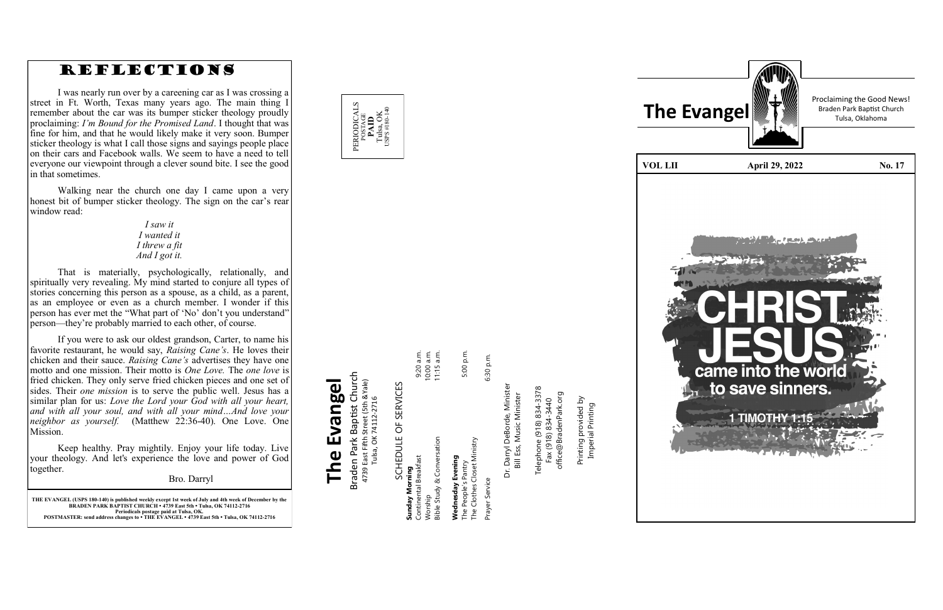**THE EVANGEL (USPS 180 -140) is published weekly except 1st week of July and 4th week of December by the BRADEN PARK BAPTIST CHURCH • 4739 East 5th • Tulsa, OK 74112 -2716 Periodicals postage paid at Tulsa, OK. POSTMASTER: send address changes to • THE EVANGEL • 4739 East 5th • Tulsa, OK 74112 -2716**

## Braden Park Baptist Church<br>4739 East Fifth Street (5th &Yale)<br>Tulsa, OK 74112-2716 Braden Park Baptist Church **The Evangel** 4739 East Fifth Street (5th &Yale) The Evangel





Dr. Darryl DeBorde, Minister<br>Bill Ess, Music Minister Dr. Darryl DeBorde, Minister Bill Ess, Music Minister

Telephone (918) 834-3378<br>Fax (918) 834-3440 Telephone (918) 834-3378 office@BradenPark.org office@BradenPark.org Fax (918) 834-3440

rinting provided by<br>Imperial Printing Printing provided by Imperial Printing Printing

Tulsa, OK 74112-2716

| SCHEDULE OF SERVICES                                                    |              |
|-------------------------------------------------------------------------|--------------|
| Sunday Morning                                                          |              |
| Continental Breakfast                                                   | 9:20 a.m.    |
| Worship                                                                 | 10:00 a.m.   |
| Bible Study & Conversation                                              | $11:15$ a.m. |
| The Clothes Closet Ministry<br>Wednesday Evening<br>The People's Pantry | 5:00 p.m.    |
| Prayer Service                                                          | 6:30 p.m.    |

 $\vec{E}$   $\vec{E}$   $\vec{E}$ 

Proclaiming the Good News!

**VOL LII April 29, 2022** No. 17 came into the world to save sinners. **TIMOTHY** 



### REFLECTIONS

I was nearly run over by a careening car as I was crossing a street in Ft. Worth, Texas many years ago. The main thing I remember about the car was its bumper sticker theology proudly proclaiming: *I 'm Bound for the Promised Land*. I thought that was fine for him, and that he would likely make it very soon. Bumper sticker theology is what I call those signs and sayings people place on their cars and Facebook walls. We seem to have a need to tell everyone our viewpoint through a clever sound bite. I see the good in that sometimes.

Walking near the church one day I came upon a very honest bit of bumper sticker theology. The sign on the car 's rear window read:

#### *I saw it I wanted it I threw a fit And I got it.*

That is materially, psychologically, relationally, and spiritually very revealing. My mind started to conjure all types of stories concerning this person as a spouse, as a child, as a parent, as an employee or even as a church member. I wonder if this person has ever met the "What part of 'No' don 't you understand" person—they 're probably married to each other, of course.

If you were to ask our oldest grandson, Carter, to name his favorite restaurant, he would say, *Raising Cane 's*. He loves their chicken and their sauce. *Raising Cane 's* advertises they have one motto and one mission. Their motto is *One Love.* The *one love* is fried chicken. They only serve fried chicken pieces and one set of sides. Their *one mission* is to serve the public well. Jesus has a similar plan for us: *Love the Lord your God with all your heart, and with all your soul, and with all your mind …And love your neighbor as yourself.* (Matthew 22:36 -40). One Love. One Mission.

Keep healthy. Pray mightily. Enjoy your life today. Live your theology. And let's experience the love and power of God together.

Bro. Darryl